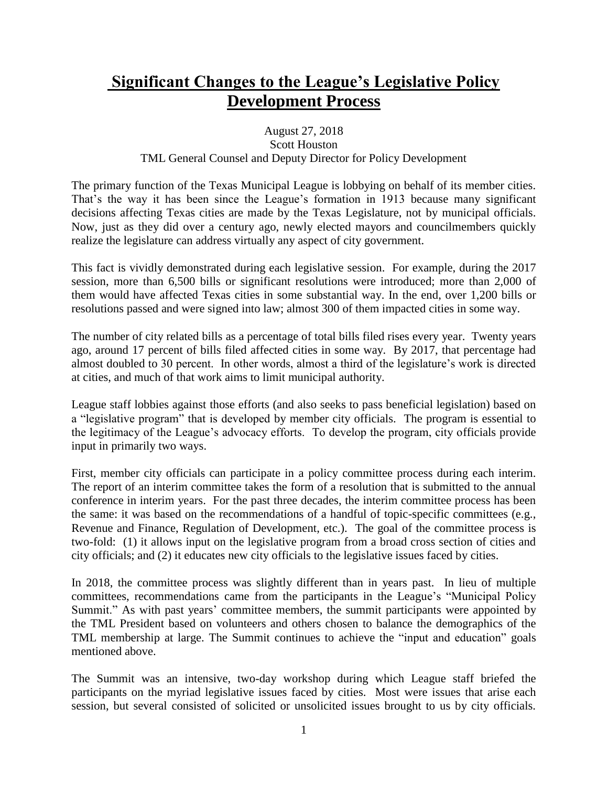## **Significant Changes to the League's Legislative Policy Development Process**

## August 27, 2018 Scott Houston TML General Counsel and Deputy Director for Policy Development

The primary function of the Texas Municipal League is lobbying on behalf of its member cities. That's the way it has been since the League's formation in 1913 because many significant decisions affecting Texas cities are made by the Texas Legislature, not by municipal officials. Now, just as they did over a century ago, newly elected mayors and councilmembers quickly realize the legislature can address virtually any aspect of city government.

This fact is vividly demonstrated during each legislative session. For example, during the 2017 session, more than 6,500 bills or significant resolutions were introduced; more than 2,000 of them would have affected Texas cities in some substantial way. In the end, over 1,200 bills or resolutions passed and were signed into law; almost 300 of them impacted cities in some way.

The number of city related bills as a percentage of total bills filed rises every year. Twenty years ago, around 17 percent of bills filed affected cities in some way. By 2017, that percentage had almost doubled to 30 percent. In other words, almost a third of the legislature's work is directed at cities, and much of that work aims to limit municipal authority.

League staff lobbies against those efforts (and also seeks to pass beneficial legislation) based on a "legislative program" that is developed by member city officials. The program is essential to the legitimacy of the League's advocacy efforts. To develop the program, city officials provide input in primarily two ways.

First, member city officials can participate in a policy committee process during each interim. The report of an interim committee takes the form of a resolution that is submitted to the annual conference in interim years. For the past three decades, the interim committee process has been the same: it was based on the recommendations of a handful of topic-specific committees (e.g., Revenue and Finance, Regulation of Development, etc.). The goal of the committee process is two-fold: (1) it allows input on the legislative program from a broad cross section of cities and city officials; and (2) it educates new city officials to the legislative issues faced by cities.

In 2018, the committee process was slightly different than in years past. In lieu of multiple committees, recommendations came from the participants in the League's "Municipal Policy Summit." As with past years' committee members, the summit participants were appointed by the TML President based on volunteers and others chosen to balance the demographics of the TML membership at large. The Summit continues to achieve the "input and education" goals mentioned above.

The Summit was an intensive, two-day workshop during which League staff briefed the participants on the myriad legislative issues faced by cities. Most were issues that arise each session, but several consisted of solicited or unsolicited issues brought to us by city officials.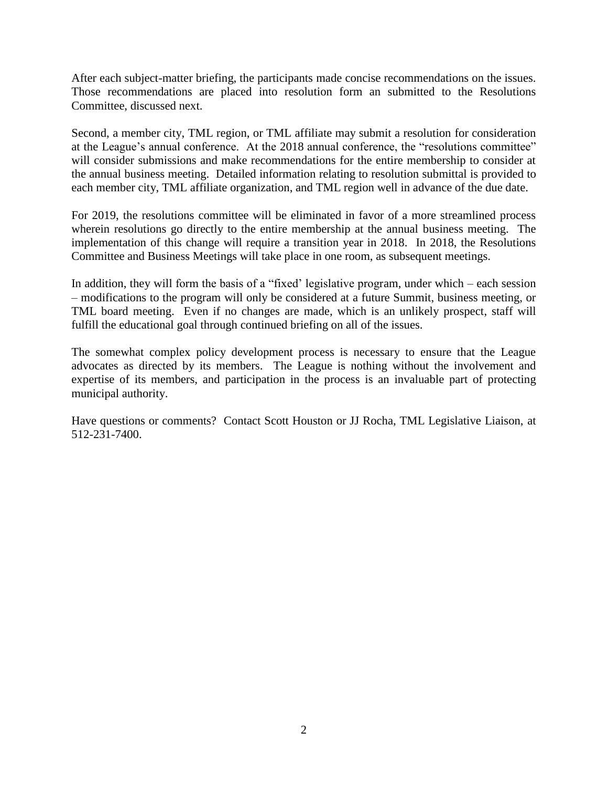After each subject-matter briefing, the participants made concise recommendations on the issues. Those recommendations are placed into resolution form an submitted to the Resolutions Committee, discussed next.

Second, a member city, TML region, or TML affiliate may submit a resolution for consideration at the League's annual conference. At the 2018 annual conference, the "resolutions committee" will consider submissions and make recommendations for the entire membership to consider at the annual business meeting. Detailed information relating to resolution submittal is provided to each member city, TML affiliate organization, and TML region well in advance of the due date.

For 2019, the resolutions committee will be eliminated in favor of a more streamlined process wherein resolutions go directly to the entire membership at the annual business meeting. The implementation of this change will require a transition year in 2018. In 2018, the Resolutions Committee and Business Meetings will take place in one room, as subsequent meetings.

In addition, they will form the basis of a "fixed' legislative program, under which – each session – modifications to the program will only be considered at a future Summit, business meeting, or TML board meeting. Even if no changes are made, which is an unlikely prospect, staff will fulfill the educational goal through continued briefing on all of the issues.

The somewhat complex policy development process is necessary to ensure that the League advocates as directed by its members. The League is nothing without the involvement and expertise of its members, and participation in the process is an invaluable part of protecting municipal authority.

Have questions or comments? Contact Scott Houston or JJ Rocha, TML Legislative Liaison, at 512-231-7400.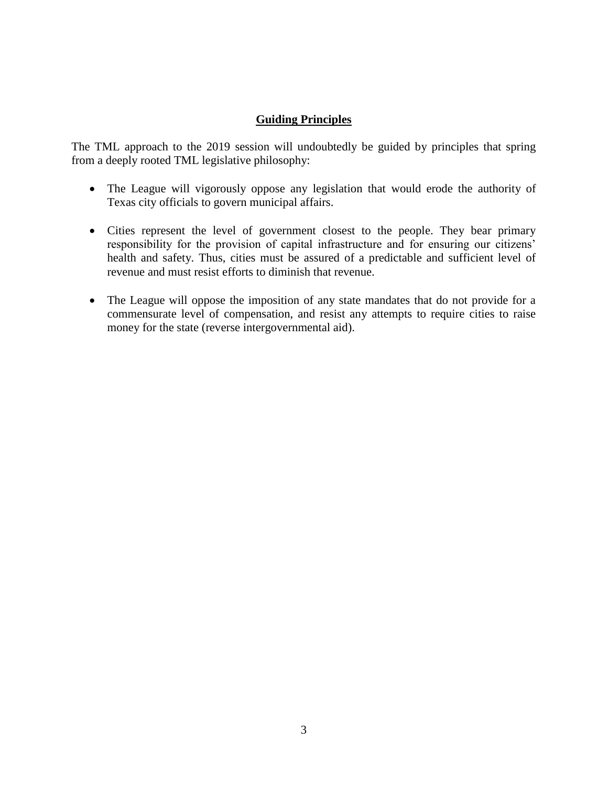## **Guiding Principles**

The TML approach to the 2019 session will undoubtedly be guided by principles that spring from a deeply rooted TML legislative philosophy:

- The League will vigorously oppose any legislation that would erode the authority of Texas city officials to govern municipal affairs.
- Cities represent the level of government closest to the people. They bear primary responsibility for the provision of capital infrastructure and for ensuring our citizens' health and safety. Thus, cities must be assured of a predictable and sufficient level of revenue and must resist efforts to diminish that revenue.
- The League will oppose the imposition of any state mandates that do not provide for a commensurate level of compensation, and resist any attempts to require cities to raise money for the state (reverse intergovernmental aid).